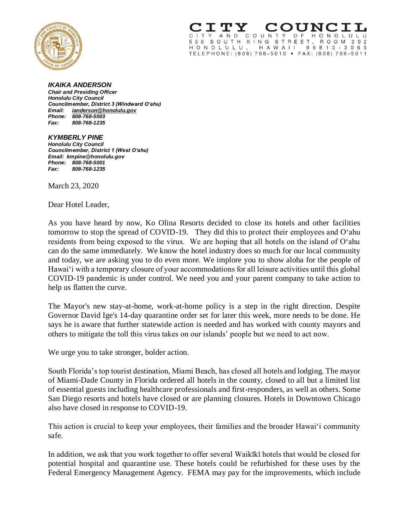

A N D COUN  $T$  $\mathsf{Y}$ O F H O N O L  $\mathsf{L}$ 530 SOUTH KING STREET, ROOM 2 0 2 HONOLULU, HAWAII 96813-3065 TELEPHONE: (808) 768-5010 · FAX: (808) 768-5011

## *IKAIKA ANDERSON*

*Chair and Presiding Officer Honolulu City Council Councilmember, District 3 (Windward Oʻahu) Email: ianderson@honolulu.gov Phone: 808-768-5003 Fax: 808-768-1235*

## *KYMBERLY PINE*

*Honolulu City Council Councilmember, District 1 (West Oʻahu) Email: kmpine@honolulu.gov Phone: 808-768-5001 Fax: 808-768-1235*

March 23, 2020

Dear Hotel Leader,

As you have heard by now, Ko Olina Resorts decided to close its hotels and other facilities tomorrow to stop the spread of COVID-19. They did this to protect their employees and O'ahu residents from being exposed to the virus. We are hoping that all hotels on the island of O'ahu can do the same immediately. We know the hotel industry does so much for our local community and today, we are asking you to do even more. We implore you to show aloha for the people of Hawai'i with a temporary closure of your accommodations for all leisure activities until this global COVID-19 pandemic is under control. We need you and your parent company to take action to help us flatten the curve.

The Mayor's new stay-at-home, work-at-home policy is a step in the right direction. Despite Governor David Ige's 14-day quarantine order set for later this week, more needs to be done. He says he is aware that further statewide action is needed and has worked with county mayors and others to mitigate the toll this virus takes on our islands' people but we need to act now.

We urge you to take stronger, bolder action.

South Florida's top tourist destination, Miami Beach, has closed all hotels and lodging. The mayor of Miami-Dade County in Florida ordered all hotels in the county, closed to all but a limited list of essential guests including healthcare professionals and first-responders, as well as others. Some San Diego resorts and hotels have closed or are planning closures. Hotels in Downtown Chicago also have closed in response to COVID-19.

This action is crucial to keep your employees, their families and the broader Hawai'i community safe.

In addition, we ask that you work together to offer several Waikīkī hotels that would be closed for potential hospital and quarantine use. These hotels could be refurbished for these uses by the Federal Emergency Management Agency. FEMA may pay for the improvements, which include